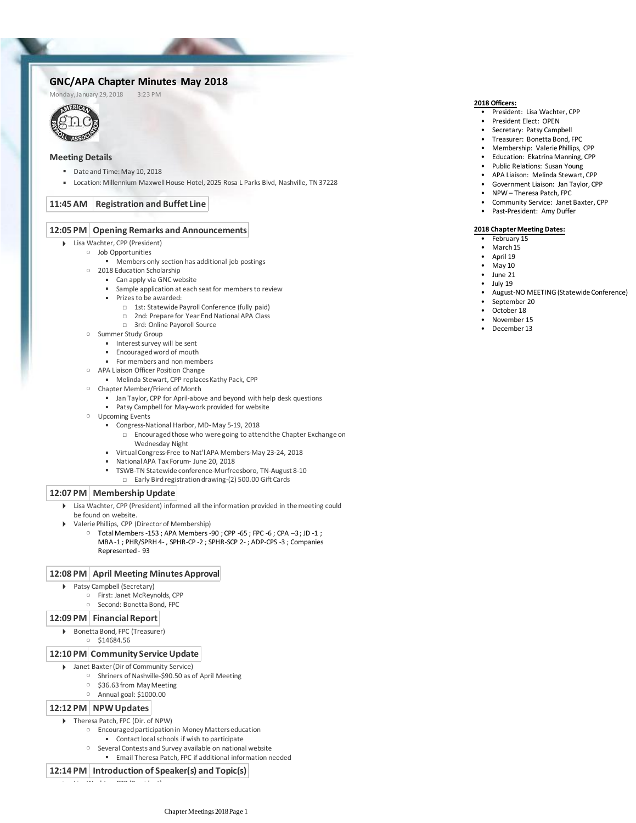# GNC/APA Chapter Minutes May 2018<br>Monday, January 29, 2018 3:23 PM

Monday, January 29, 2018



## **Meeting Details**

- Date and Time: May 10, 2018
- Location: Millennium Maxwell House Hotel, 2025 Rosa L Parks Blvd, Nashville, TN 37228

## **11:45 AM Registration and Buffet Line**

### **12:05 PM Opening Remarks and Announcements**

- Lisa Wachter, CPP (President)
	- Job Opportunities
		- $\blacksquare$  Members only section has additional job postings
		- 2018 Education Scholarship
			- Can apply via GNC website
			- Sample application at each seat for members to review
			- Prizes to be awarded:
				- □ 1st: Statewide Payroll Conference (fully paid)
				- □ 2nd: Prepare for Year End National APA Class
				- □ 3rd: Online Payoroll Source
		- Summer Study Group
			- Interest survey will be sent
			- Encouraged word of mouth
			- For members and non members
		- APA Liaison Officer Position Change
			- Melinda Stewart, CPP replaces Kathy Pack, CPP
		- Chapter Member/Friend of Month
			- **■** Jan Taylor, CPP for April-above and beyond with help desk questions
			- Patsy Campbell for May-work provided for website
		- Upcoming Events
			- Congress-National Harbor, MD-May 5-19, 2018
				- □ Encouraged those who were going to attend the Chapter Exchange on Wednesday Night
			- Virtual Congress-Free to Nat'l APA Members-May 23-24, 2018
				- National APA Tax Forum- June 20, 2018
			- TSWB-TN Statewide conference-Murfreesboro, TN-August 8-10
			- □ Early Bird registration drawing-(2) 500.00 Gift Cards

## **12:07 PM Membership Update**

- Lisa Wachter, CPP (President) informed all the information provided in the meeting could be found on website.  $\mathbf{b}$
- Valerie Phillips, CPP (Director of Membership)
	- Total Members -153 ; APA Members -90 ; CPP -65 ; FPC -6 ; CPA -3 ; JD -1 ; MBA -1 ; PHR/SPRH 4- , SPHR-CP -2 ; SPHR-SCP 2- ; ADP-CPS -3 ; Companies Represented - 93

#### **12:08 PM April Meeting Minutes Approval**

- Patsy Campbell (Secretary)
	- First: Janet McReynolds, CPP
		- Second: Bonetta Bond, FPC

## **12:09 PM Financial Report**

- Bonetta Bond, FPC (Treasurer)
	- \$14684.56

## **12:10 PM Community Service Update**

- Janet Baxter (Dir of Community Service)
	- Shriners of Nashville-\$90.50 as of April Meeting
		- \$36.63 from May Meeting
		- Annual goal: \$1000.00

## **12:12 PM NPW Updates**

Theresa Patch, FPC (Dir. of NPW)

Lisa Wachter, CPP (President)

- Encouraged participation in Money Matters education
	- Contact local schools if wish to participate
- Several Contests and Survey available on national website
	- Email Theresa Patch, FPC if additional information needed

## **12:14 PM Introduction of Speaker(s) and Topic(s)**

- President: Lisa Wachter, CPP
- President Elect: OPEN
- Secretary: Patsy Campbell
- Treasurer: Bonetta Bond, FPC
- Membership: Valerie Phillips, CPP
- Education: Ekatrina Manning, CPP
- Public Relations: Susan Young
- APA Liaison: Melinda Stewart, CPP
- Government Liaison: Jan Taylor, CPP
- NPW Theresa Patch, FPC
- Community Service: Janet Baxter, CPP
- Past-President: Amy Duffer

#### **2018 Chapter Meeting Dates:**

- February 15
- March 15
- April 19
- May 10
- June 21
- July 19
- August-NO MEETING (Statewide Conference)
- September 20
- October 18
- November 15
- December 13